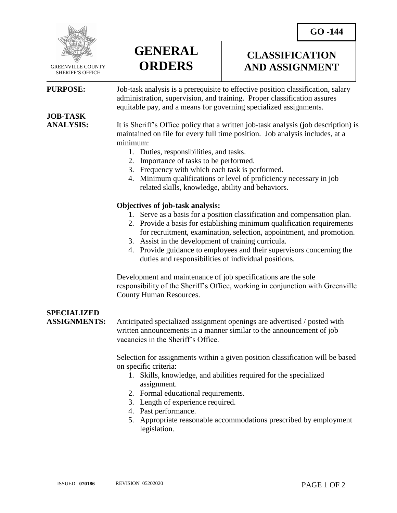**CLASSIFICATION AND ASSIGNMENT**



 GREENVILLE COUNTY SHERIFF'S OFFICE

 $\overline{a}$ 

**PURPOSE:** Job-task analysis is a prerequisite to effective position classification, salary administration, supervision, and training. Proper classification assures equitable pay, and a means for governing specialized assignments.

# **JOB-TASK**

**ANALYSIS:** It is Sheriff's Office policy that a written job-task analysis (job description) is maintained on file for every full time position. Job analysis includes, at a minimum:

- 1. Duties, responsibilities, and tasks.
- 2. Importance of tasks to be performed.
- 3. Frequency with which each task is performed.
- 4. Minimum qualifications or level of proficiency necessary in job related skills, knowledge, ability and behaviors.

### **Objectives of job-task analysis:**

**GENERAL**

**ORDERS**

- 1. Serve as a basis for a position classification and compensation plan.
- 2. Provide a basis for establishing minimum qualification requirements for recruitment, examination, selection, appointment, and promotion.
- 3. Assist in the development of training curricula.
- 4. Provide guidance to employees and their supervisors concerning the duties and responsibilities of individual positions.

Development and maintenance of job specifications are the sole responsibility of the Sheriff's Office, working in conjunction with Greenville County Human Resources.

### **SPECIALIZED**

**ASSIGNMENTS:** Anticipated specialized assignment openings are advertised / posted with written announcements in a manner similar to the announcement of job vacancies in the Sheriff's Office.

> Selection for assignments within a given position classification will be based on specific criteria:

- 1. Skills, knowledge, and abilities required for the specialized assignment.
- 2. Formal educational requirements.
- 3. Length of experience required.
- 4. Past performance.
- 5. Appropriate reasonable accommodations prescribed by employment legislation.